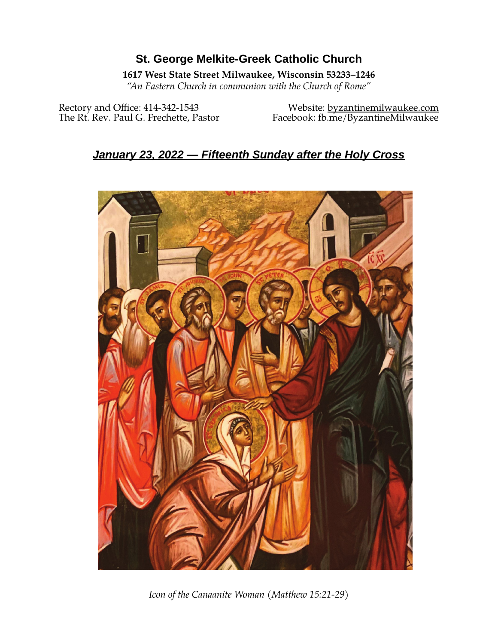# **St. George Melkite-Greek Catholic Church**

## **1617 West State Street Milwaukee, Wisconsin 53233–1246**

*"An Eastern Church in communion with the Church of Rome"*

Rectory and Office: 414-342-1543 Website: [byzantinemilwaukee.com](https://byzantinemilwaukee.com/)

The Rt. Rev. Paul G. Frechette, Pastor Facebook: fb.me/ByzantineMilwaukee

# *January 23, 2022 — Fifteenth Sunday after the Holy Cross*



*Icon of the Canaanite Woman (Matthew 15:21-29)*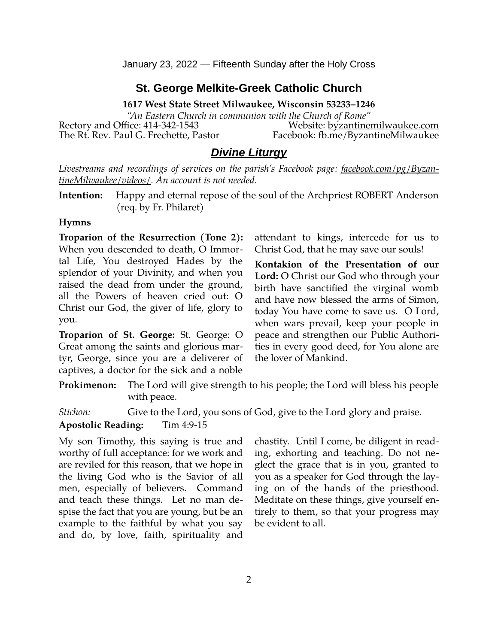## **St. George Melkite-Greek Catholic Church**

**1617 West State Street Milwaukee, Wisconsin 53233–1246**

*"An Eastern Church in communion with the Church of Rome"* Rectory and Office: 414-342-1543 Website: [byzantinemilwaukee.com](https://byzantinemilwaukee.com/) The Rt. Rev. Paul G. Frechette, Pastor Facebook: fb.me/ByzantineMilwaukee

## *Divine Liturgy*

*Livestreams and recordings of services on the parish's Facebook page: [facebook.com/pg/Byzan](https://www.facebook.com/pg/ByzantineMilwaukee/videos/)[tineMilwaukee/videos/.](https://www.facebook.com/pg/ByzantineMilwaukee/videos/) An account is not needed.*

**Intention:** Happy and eternal repose of the soul of the Archpriest ROBERT Anderson (req. by Fr. Philaret)

#### **Hymns**

**Troparion of the Resurrection (Tone 2):** When you descended to death, O Immortal Life, You destroyed Hades by the splendor of your Divinity, and when you raised the dead from under the ground, all the Powers of heaven cried out: O Christ our God, the giver of life, glory to you.

**Troparion of St. George:** St. George: O Great among the saints and glorious martyr, George, since you are a deliverer of captives, a doctor for the sick and a noble attendant to kings, intercede for us to Christ God, that he may save our souls!

**Kontakion of the Presentation of our Lord:** O Christ our God who through your birth have sanctified the virginal womb and have now blessed the arms of Simon, today You have come to save us. O Lord, when wars prevail, keep your people in peace and strengthen our Public Authorities in every good deed, for You alone are the lover of Mankind.

**Prokimenon:** The Lord will give strength to his people; the Lord will bless his people with peace.

*Stichon:* Give to the Lord, you sons of God, give to the Lord glory and praise.

#### **Apostolic Reading:** Tim 4:9-15

My son Timothy, this saying is true and worthy of full acceptance: for we work and are reviled for this reason, that we hope in the living God who is the Savior of all men, especially of believers. Command and teach these things. Let no man despise the fact that you are young, but be an example to the faithful by what you say and do, by love, faith, spirituality and

chastity. Until I come, be diligent in reading, exhorting and teaching. Do not neglect the grace that is in you, granted to you as a speaker for God through the laying on of the hands of the priesthood. Meditate on these things, give yourself entirely to them, so that your progress may be evident to all.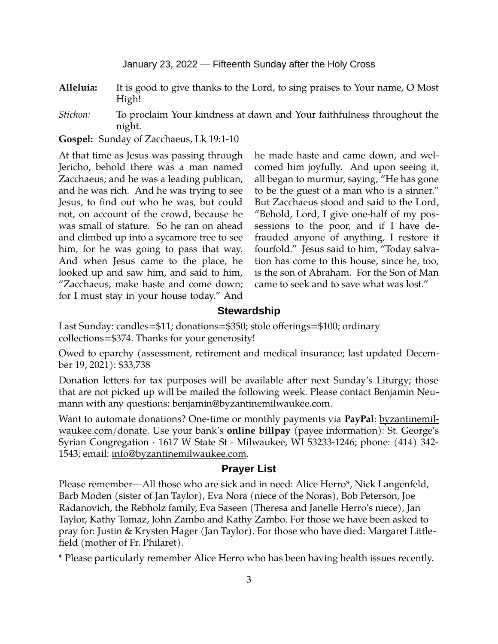**Alleluia:** It is good to give thanks to the Lord, to sing praises to Your name, O Most High!

*Stichon:* To proclaim Your kindness at dawn and Your faithfulness throughout the night.

**Gospel:** Sunday of Zacchaeus, Lk 19:1-10

At that time as Jesus was passing through Jericho, behold there was a man named Zacchaeus; and he was a leading publican, and he was rich. And he was trying to see Jesus, to find out who he was, but could not, on account of the crowd, because he was small of stature. So he ran on ahead and climbed up into a sycamore tree to see him, for he was going to pass that way. And when Jesus came to the place, he looked up and saw him, and said to him, "Zacchaeus, make haste and come down; for I must stay in your house today." And

he made haste and came down, and welcomed him joyfully. And upon seeing it, all began to murmur, saying, "He has gone to be the guest of a man who is a sinner." But Zacchaeus stood and said to the Lord, "Behold, Lord, I give one-half of my possessions to the poor, and if I have defrauded anyone of anything, I restore it fourfold." Jesus said to him, "Today salvation has come to this house, since he, too, is the son of Abraham. For the Son of Man came to seek and to save what was lost."

#### **Stewardship**

Last Sunday: candles=\$11; donations=\$350; stole offerings=\$100; ordinary collections=\$374. Thanks for your generosity!

Owed to eparchy (assessment, retirement and medical insurance; last updated December 19, 2021): \$33,738

Donation letters for tax purposes will be available after next Sunday's Liturgy; those that are not picked up will be mailed the following week. Please contact Benjamin Neumann with any questions: [benjamin@byzantinemilwaukee.com](mailto:benjamin@byzantinemilwaukee.com).

Want to automate donations? One-time or monthly payments via **PayPal**: [byzantinemil](https://byzantinemilwaukee.com/donate/)[waukee.com/donate.](https://byzantinemilwaukee.com/donate/) Use your bank's **online billpay** (payee information): St. George's Syrian Congregation · 1617 W State St · Milwaukee, WI 53233-1246; phone: (414) 342- 1543; email: [info@byzantinemilwaukee.com](mailto:info@byzantinemilwaukee.com).

#### **Prayer List**

Please remember—All those who are sick and in need: Alice Herro\*, Nick Langenfeld, Barb Moden (sister of Jan Taylor), Eva Nora (niece of the Noras), Bob Peterson, Joe Radanovich, the Rebholz family, Eva Saseen (Theresa and Janelle Herro's niece), Jan Taylor, Kathy Tomaz, John Zambo and Kathy Zambo. For those we have been asked to pray for: Justin & Krysten Hager (Jan Taylor). For those who have died: Margaret Littlefield (mother of Fr. Philaret).

\* Please particularly remember Alice Herro who has been having health issues recently.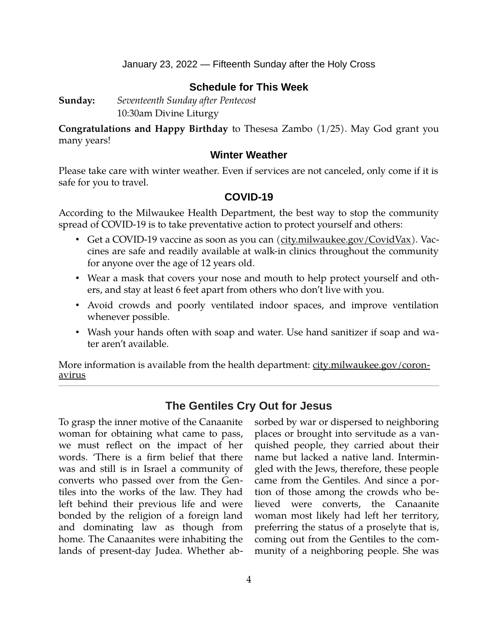## **Schedule for This Week**

**Sunday:** *Seventeenth Sunday after Pentecost* 10:30am Divine Liturgy

**Congratulations and Happy Birthday** to Thesesa Zambo (1/25). May God grant you many years!

### **Winter Weather**

Please take care with winter weather. Even if services are not canceled, only come if it is safe for you to travel.

## **[COVID-19](mailto:j1ordan2000@yahoo.com)**

According to the Milwaukee Health Department, the best way to stop the community spread of COVID-19 is to take preventative action to protect yourself and others:

- Get a COVID-19 vaccine as soon as you can [\(city.milwaukee.gov/CovidVax\)](https://city.milwaukee.gov/CovidVax). Vaccines are safe and readily available at walk-in clinics throughout the community for anyone over the age of 12 years old.
- Wear a mask that covers your nose and mouth to help protect yourself and others, and stay at least 6 feet apart from others who don't live with you.
- Avoid crowds and poorly ventilated indoor spaces, and improve ventilation whenever possible.
- Wash your hands often with soap and water. Use hand sanitizer if soap and water aren't available.

More information is available from the health department: [city.milwaukee.gov/coron](https://city.milwaukee.gov/coronavirus)[avirus](https://city.milwaukee.gov/coronavirus)

## **The Gentiles Cry Out for Jesus**

To grasp the inner motive of the Canaanite woman for obtaining what came to pass, we must reflect on the impact of her words. 'There is a firm belief that there was and still is in Israel a community of converts who passed over from the Gentiles into the works of the law. They had left behind their previous life and were bonded by the religion of a foreign land and dominating law as though from home. The Canaanites were inhabiting the lands of present-day Judea. Whether absorbed by war or dispersed to neighboring places or brought into servitude as a vanquished people, they carried about their name but lacked a native land. Intermingled with the Jews, therefore, these people came from the Gentiles. And since a portion of those among the crowds who believed were converts, the Canaanite woman most likely had left her territory, preferring the status of a proselyte that is, coming out from the Gentiles to the community of a neighboring people. She was